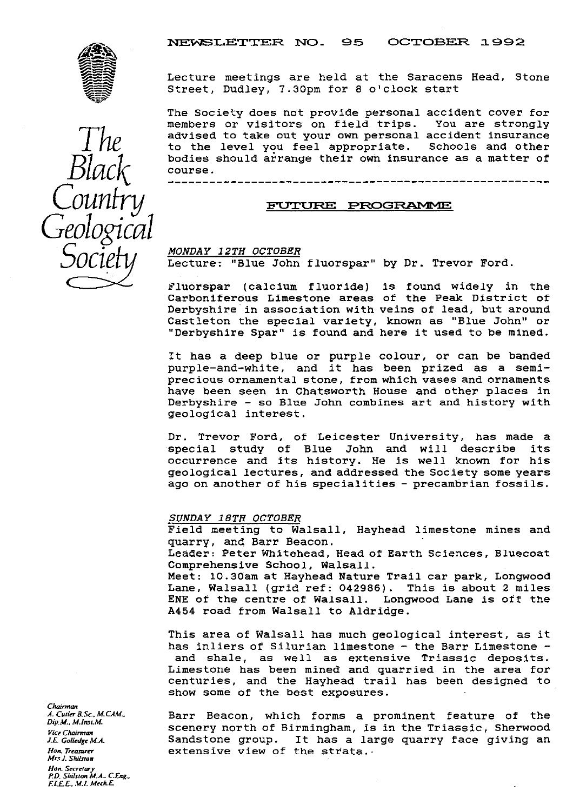

Lecture meetings are held at the Saracens Head, Stone Street, Dudley, 7.30pm for 8 o'clock start

The Society does not provide personal accident cover for<br>members or visitors on field trips. You are strongly members or visitors on field trips. advised to take out your own personal accident insurance to the level you feel appropriate. Schools and other bodies should arrange their own insurance as a matter of course.

ours--------------------------------------------------

### *FUTURE PROGRAMME*

### *MONDAY 12TH OCTOBER*

Lecture: "Blue John fluorspar" by Dr. Trevor Ford.

r'luorspar (calcium fluoride) is found widely in the Carboniferous Limestone areas of the Peak District of Derbyshire in association with veins of lead, but around Castleton the special variety, known as "Blue John" or "Derbyshire Spar" is found and here it used to be mined.

It has a deep blue or purple colour, or can be banded purple-and-white, and it has been prized as a semiprecious ornamental stone, from which vases and ornaments have been seen in Chatsworth House and other places in Derbyshire - so Blue John combines art and history with geological interest.

Dr. Trevor Ford, of Leicester University, has made a special study of Blue John and will describe its occurrence and its history. He is well known for his geological lectures, and addressed the Society some years ago on another of his specialities - precambrian fossils.

#### *SUNDAY 18TH OCTOBER*

Field meeting to Walsall, Hayhead limestone mines and quarry, and Barr Beacon. Leader: Peter Whitehead, Head of Earth Sciences, Bluecoat Comprehensive School, Walsall. Meet: l0.30am at Hayhead Nature Trail car park, Longwood Lane, Walsall (grid ref: 042986). This is about 2 miles ENE of the centre of Walsall. Longwood Lane is off the A454 road from Walsall to Aldridge.

This area of Walsall has much geological interest, as it has inliers of Silurian limestone - the Barr Limestone and shale, as well as extensive Triassic deposits. Limestone has been mined and quarried in the area for centuries, and the Hayhead trail has been designed to show some of the best exposures.

*A.Cuiler B.Sc. M.CAM.*, Barr Beacon, which forms a prominent feature of the *Dip.M., M.Inst.M.*<br>*Dip.M., M.Inst.M.* scenery north of Birmingham, is in the Triassic, Sherwood *Vice Chairman*<br>*J.E. Golledge M.A.* Sandstone *JE Golledge M.A.* Sandstone group. It has a large quarry face giving an information of the strata... extensive view of the strata.

Chairman<br>A. Cuiler B.Sc., M.CAM., *Mrs J. Shilston Hon. Seere ary P.D. Shilswn M.A. CEng., F.C£ E. M.l MechE*

*Geological\_\_\_\_\_\_\_\_\_\_ 5 '*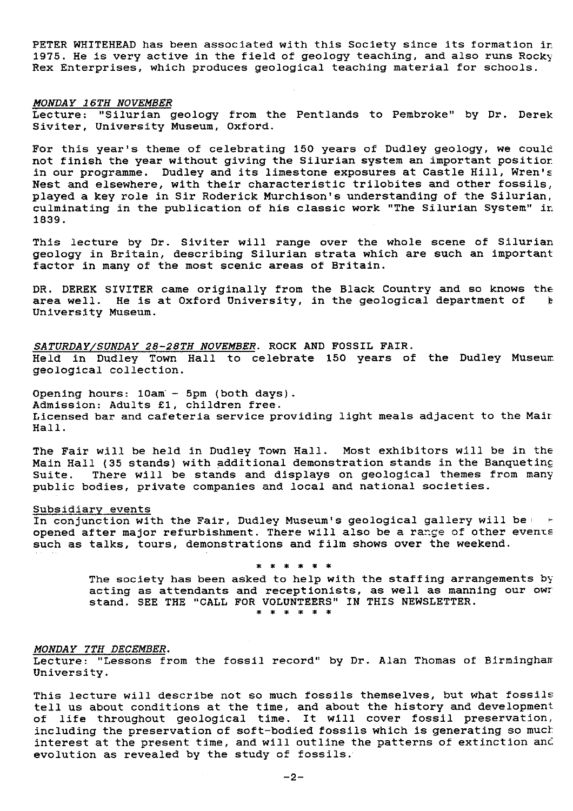PETER WHITEHEAD has been associated with this Society since its formation in 1975. He is very active in the field of geology teaching, and also runs Rocky Rex Enterprises, which produces geological teaching material for schools.

#### *MONDAY 16TH NOVEMBER*

Lecture: "Silurian geology from the Pentlands to Pembroke" by Dr. Derek Siviter, University Museum, Oxford.

For this year's theme of celebrating 150 years of Dudley geology, we could not finish the year without giving the Silurian system an important position. in our programme. Dudley and its limestone exposures at Castle Hill, Wren's Nest and elsewhere, with their characteristic trilobites and other fossils, played a key role in Sir Roderick Murchison's understanding of the Silurian, culminating in the publication of his classic work "The Silurian System" in 1839.

This lecture by Dr. Siviter will range over the whole scene of Silurian geology in Britain, describing Silurian strata which are such an important factor in many of the most scenic areas of Britain.

DR. DEREK SIVITER came originally from the Black Country and so knows the area well. He is at Oxford University, in the geological department of the area well. He is at Oxford University, in the geological department of University Museum.

SATURDAY/SUNDAY 28-28TH NOVEMBER. ROCK AND FOSSIL FAIR. Held in Dudley Town Hall to celebrate 150 years of the Dudley Museum geological collection.

Opening hours: 10am - 5pm (both days). Admission: Adults £1, children free. Licensed bar and cafeteria service providing light meals adjacent to the Malt Hall.

The Fair will be held in Dudley Town Hall. Most exhibitors will be in the Main Hall (35 stands) with additional demonstration stands in the Banquetinc Suite. There will be stands and displays on geological themes from many public bodies, private companies and local and national societies.

#### Subsidiary events

In conjunction with the Fair, Dudley Museum's geological gallery will be opened after major refurbishment. There will also be a range of other events such as talks, tours, demonstrations and film shows over the weekend.

\* \* \* \* \* \*

The society has been asked to help with the staffing arrangements by acting as attendants and receptionists, as well as manning our owr stand. SEE THE "CALL FOR VOLUNTEERS" IN THIS NEWSLETTER.

## MONDAY 7TH DECEMBER.

Lecture: "Lessons from the fossil record" by Dr. Alan Thomas of Birmingham University.

This lecture will describe not so much fossils themselves, but what fossils tell us about conditions at the time, and about the history and development of life throughout geological time. It will cover fossil preservation, including the preservation of soft-bodied fossils which is generating so much interest at the present time, and will outline the patterns of extinction and evolution as revealed by the study of fossils.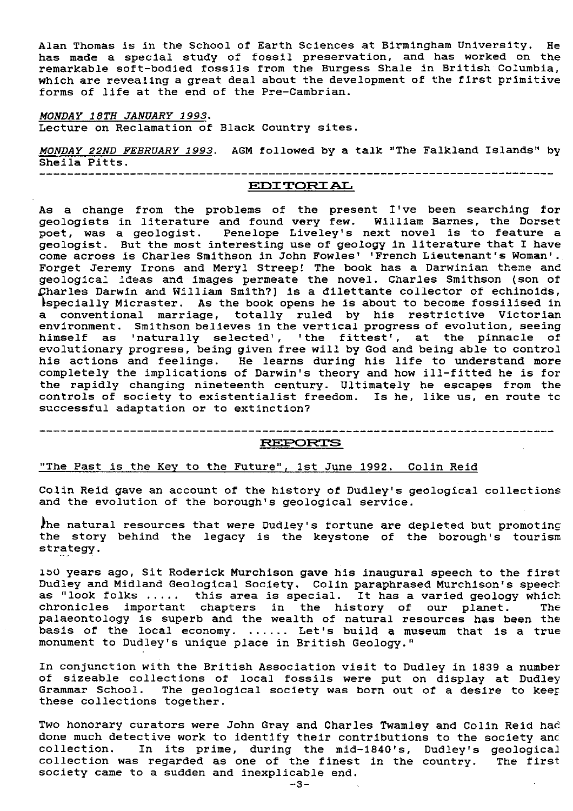Alan Thomas is in the School of Earth Sciences at Birmingham University. He has made a special study of fossil preservation, and has worked on the remarkable soft-bodied fossils from the Burgess Shale in British Columbia, which are revealing a great deal about the development of the first primitive forms of life at the end of the Pre-Cambrian.

MONDAY 18TH JANUARY 1993 . Lecture on Reclamation of Black Country sites.

*MONDAY 22ND FEBRUARY 1993 . AGM* followed by a talk "The Falkland Islands" by Sheila Pitts.

---------------------------------------------------------------------------

# **EDI TQRI AL**

As a change from the problems of the present I've been searching for geologists in literature and found very few. William Barnes, the Dorse poet, was a geologist. Penelope Liveley's next novel is to feature a geologist. But the most interesting use of geology in literature that I have come across is Charles Smithson in John Fowles' 'French Lieutenant's Woman'. Forget Jeremy Irons and Meryl Streep! The book has a Darwinian theme and geological ideas and images permeate the novel. Charles Smithson (son of Lharles Darwin and William Smith?) is a dilettante collector of echinoids, especially Micraster. As the book opens he is about to become fossilised in a conventional marriage, totally ruled by **his** restrictive Victorian environment. Smithson believes in the vertical progress of evolution, seeing himself as 'naturally selected', 'the fittest', at the pinnacle of evolutionary progress, being given free will by God and being able to control his actions and feelings. He learns during his life to understand more completely the implications of Darwin's theory and how ill-fitted he is for the rapidly changing nineteenth century. Ultimately he escapes from the controls of society to existentialist freedom. Is he, like us, en route to successful adaptation or to extinction?

-------------------------------

# **RE1>(DR'rE3**

## "The Past is the Key to the Future", 1st June 1992. Colin Reid

Colin Reid gave an account of the history of Dudley's geological collections and the evolution of the borough's geological service.

he natural resources that were Dudley's fortune are depleted but promoting the story behind the legacy is the keystone of the borough's tourism strategy.

150 years ago, Sit Roderick Murchison gave his inaugural speech to the first Dudley and Midland Geological Society. Colin paraphrased Murchison's speech: as "look folks ..... this area is special. It has a varied geology which chronicles important chapters in the history of our planet. The palaeontology is superb and the wealth of natural resources has been the basis of the local economy. ...... Let's build a museum that is a true monument to Dudley's unique place in British Geology."

In conjunction with the British Association visit to Dudley in 1839 a number of sizeable collections of local fossils were put on display at Dudley Grammar School. The geological society was born out of a desire to keep these collections together.

Two honorary curators were John Gray and Charles Twamley and Colin Reid had done much detective work to identify their contributions to the society and collection. In its prime, during the mid-1840's, Dudley's geological collection was regarded as one of the finest in the country. The first society came to a sudden and inexplicable end.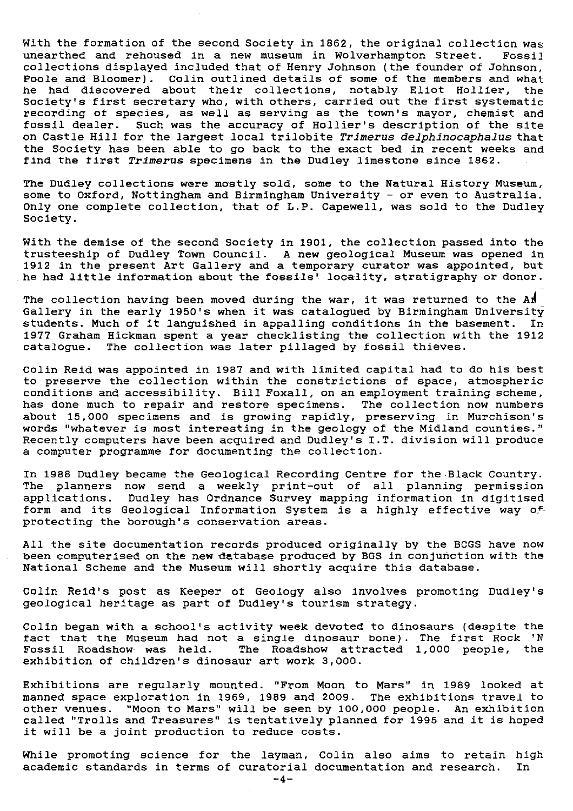With the formation of the second Society in 1862, the original collection was unearthed and rehoused in a new museum in Wolverhampton Street. Fossil collections displayed included that of Henry Johnson (the founder of Johnson, Poole and Bloomer). Colin outlined details of some of the members and what he had discovered about their collections, notably Eliot Hollier, the Society's first secretary who, with others, carried out the first systematic recording of species, as well as serving as the town's mayor, chemist and fossil dealer. Such was the accuracy of Hollier's description of the site on Castle Hill for the largest local trilobite *Trimerus delphinocaphalus* that the Society has been able to go back to the exact bed in recent weeks and find the first Trimerus specimens in the Dudley limestone since 1862.

The Dudley collections were mostly sold, some to the Natural History Museum, some to Oxford, Nottingham and Birmingham University - or even to Australia. Only one complete collection, that of L.P. Capewell, was sold to the Dudley Society.

With the demise of the second Society in 1901, the collection passed into the trusteeship of Dudley Town Council. A new geological Museum was opened in  $1912$  in the present Art Gallery and a temporary curator was appointed, bu he had little information about the fossils' locality, stratigraphy or donor.

The collection having been moved during the war, it was returned to the An Gallery in the early 1950's when it was catalogued by Birmingham University students. Much of it languished in appalling conditions in the basement. In 1977 Graham Hickman spent a year checklisting the collection with the 1912 catalogue. The collection was later pillaged by fossil thieves.

Colin Reid was appointed in 1987 and with limited capital had to do his best to preserve the collection within the constrictions of space, atmospheric conditions and accessibility. Bill Foxall, on an employment training scheme, has done much to repair and restore specimens. The collection now numbers about 15,000 specimens and is growing rapidly, preserving in Murchison's words "whatever is most interesting in the geology of the Midland counties." Recently computers have been acquired and Dudley's I.T. division will produce a computer programme for documenting the collection.

In 1988 Dudley became the Geological Recording Centre for the Black Country. The planners now send a weekly print-out of all planning permissio $\,$ applications. Dudley has Ordnance Survey mapping information in digitise $\epsilon$ form and its Geological Information System Is a highly effective way of protecting the borough's conservation areas.

All the site documentation records produced originally by the BCGS have now been computerised on the new database produced by BGS in conjunction with the National Scheme and the Museum will shortly acquire this database.

Colin Reid's post as Keeper of Geology also involves promoting Dudley's geological heritage as part of Dudley's tourism strategy.

Colin began with a school's activity week devoted to dinosaurs (despite the fact that the Museum had not a single dinosaur bone). The first Rock 'N Fossil Roadshow- was held. The Roadshow attracted 1,000 people, *the* exhibition of children's dinosaur art work 3,000.

Exhibitions are regularly mounted. "From Moon to Mars" in 1989 looked at manned space exploration in 1969, 1989 and 2009. The exhibitions travel to other venues. "Moon to Mars" will be seen by 100,000 people. An exhibition called "Trolls and Treasures" is tentatively planned for 1995 and it is hoped it will be a joint production to reduce costs.

While promoting science for the layman, Colin also aims to retain high academic standards in terms of curatorial documentation and research. In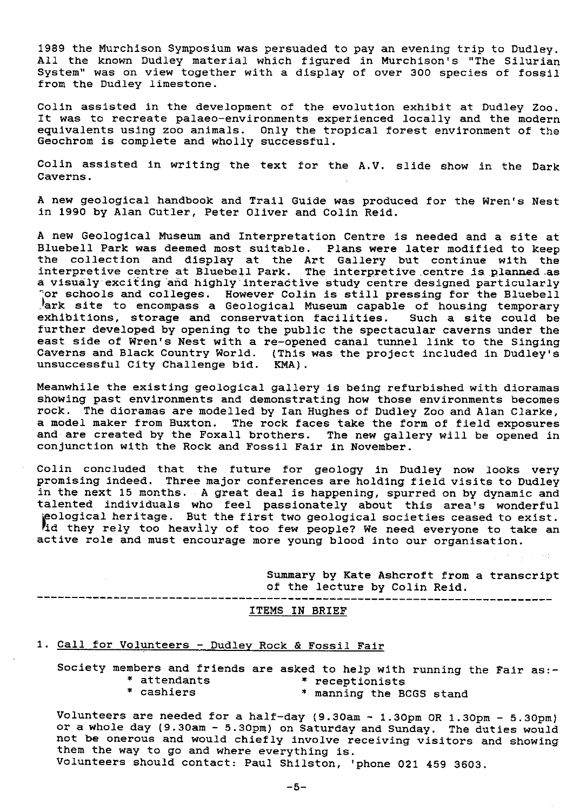1989 the Murchison Symposium was persuaded to pay an evening trip to Dudley. All the known Dudley material which figured in Murchison's "The Silurian System" was on view together with a display of over 300 species of fossil from the Dudley limestone.

Colin assisted in the development of the evolution exhibit at Dudley Zoo. It was to recreate palaeo-environments experienced locally and the modern equivalents using zoo animals. Only the tropical forest environment of the Geochrom is complete and wholly successful.

Colin assisted in writing the text for the A.V. slide show in the Dark Caverns.

A new geological handbook and Trail Guide was produced for the Wren's Nest in 1990 by Alan Cutler, Peter Oliver and Colin Reid.

A new Geological Museum and Interpretation Centre is needed and a site at Bluebell Park was deemed most suitable. Plans were later modified to keep the collection and display at the Art Gallery but continue with the interpretive centre at Bluebell Park. The interpretive centre is. planned .as a visualy exciting and highly interactive study centre designed particularly or schools and colleges. However Colin is still pressing for the Bluebell ark site to encompass a Geological Museum capable of housing temporary! exhibitions, storage and conservation facilities. Such a site could be further developed by opening to the public the spectacular caverns under the east side of Wren's Nest with a re-opened canal tunnel link to the Singing Caverns and Black Country World. (This **was** the project included in Dudley's unsuccessful City Challenge bid. KMA).

Meanwhile the existing geological gallery is being refurbished with dioramas showing past environments and demonstrating how those environments becomes rock. The dioramas are modelled by Ian Hughes of Dudley Zoo and Alan Clarke, a model maker from Buxton. The rock faces take the form of field exposures and are created by the Foxall brothers. The new gallery will be opened in conjunction with the Rock and Fossil Fair in November.

Colin concluded that the future for geology in Dudley now looks very promising indeed. Three major conferences are holding field visits to Dudley in the next 15 months. A great deal is happening, spurred on by dynamic and talented individuals who feel passionately about this area's wonderful eological heritage. But the first two geological societies ceased to exist. id they rely too heavily of too few people? We need everyone to take an active role and must encourage more young blood into our organisation.

> Summary by Kate Ashcroft from a transcript of the lecture by Colin Reid.

### ITEMS IN BRIEF

# 1. Call for Volunteers - Dudley Rock & Fossil Fair

Society members and friends are asked to help with running the Fair as:-<br>\* attendants \* receptionists \* attendants \* \* receptionists<br>\* cashiers \* \* \* \* manning the B

---------------------------------

\* manning the BCGS stand

Volunteers are needed for a half-day (9.30am - 1.30pm OR 1.3Opm - 5.30pm) or a whole day (9.30am - 5.30pm) on Saturday and Sunday. The duties would not be onerous and would chiefly involve receiving visitors and showing them the way to go and where everything **is.**

Volunteers should contact: Paul Shilston, 'phone 021 459 3603.

-5-